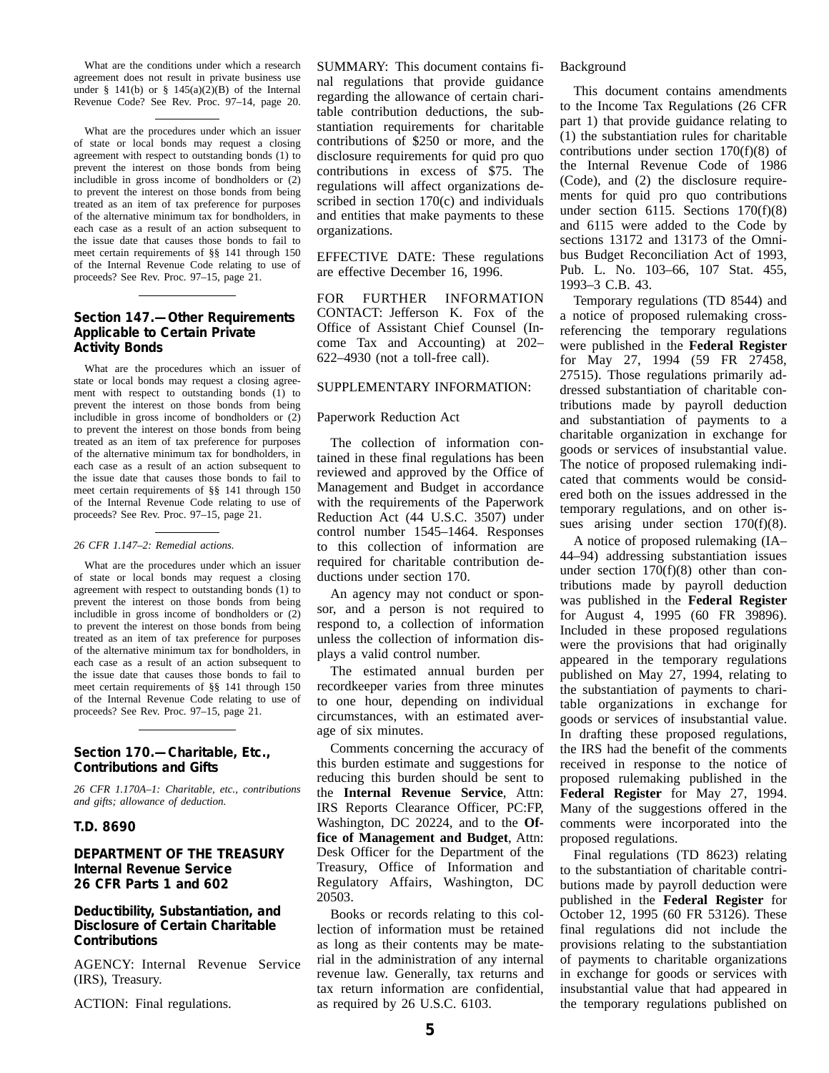What are the conditions under which a research agreement does not result in private business use under  $§$  141(b) or  $§$  145(a)(2)(B) of the Internal Revenue Code? See Rev. Proc. 97–14, page 20.

What are the procedures under which an issuer of state or local bonds may request a closing agreement with respect to outstanding bonds (1) to prevent the interest on those bonds from being includible in gross income of bondholders or (2) to prevent the interest on those bonds from being treated as an item of tax preference for purposes of the alternative minimum tax for bondholders, in each case as a result of an action subsequent to the issue date that causes those bonds to fail to meet certain requirements of §§ 141 through 150 of the Internal Revenue Code relating to use of proceeds? See Rev. Proc. 97–15, page 21.

### **Section 147.—Other Requirements Applicable to Certain Private Activity Bonds**

What are the procedures which an issuer of state or local bonds may request a closing agreement with respect to outstanding bonds (1) to prevent the interest on those bonds from being includible in gross income of bondholders or (2) to prevent the interest on those bonds from being treated as an item of tax preference for purposes of the alternative minimum tax for bondholders, in each case as a result of an action subsequent to the issue date that causes those bonds to fail to meet certain requirements of §§ 141 through 150 of the Internal Revenue Code relating to use of proceeds? See Rev. Proc. 97–15, page 21.

#### *26 CFR 1.147–2: Remedial actions.*

What are the procedures under which an issuer of state or local bonds may request a closing agreement with respect to outstanding bonds (1) to prevent the interest on those bonds from being includible in gross income of bondholders or (2) to prevent the interest on those bonds from being treated as an item of tax preference for purposes of the alternative minimum tax for bondholders, in each case as a result of an action subsequent to the issue date that causes those bonds to fail to meet certain requirements of §§ 141 through 150 of the Internal Revenue Code relating to use of proceeds? See Rev. Proc. 97–15, page 21.

#### **Section 170.—Charitable, Etc., Contributions and Gifts**

*26 CFR 1.170A–1: Charitable, etc., contributions and gifts; allowance of deduction.*

#### **T.D. 8690**

## **DEPARTMENT OF THE TREASURY Internal Revenue Service 26 CFR Parts 1 and 602**

#### **Deductibility, Substantiation, and Disclosure of Certain Charitable Contributions**

AGENCY: Internal Revenue Service (IRS), Treasury.

ACTION: Final regulations.

SUMMARY: This document contains final regulations that provide guidance regarding the allowance of certain charitable contribution deductions, the substantiation requirements for charitable contributions of \$250 or more, and the disclosure requirements for quid pro quo contributions in excess of \$75. The regulations will affect organizations described in section 170(c) and individuals and entities that make payments to these organizations.

EFFECTIVE DATE: These regulations are effective December 16, 1996.

FOR FURTHER INFORMATION CONTACT: Jefferson K. Fox of the Office of Assistant Chief Counsel (Income Tax and Accounting) at 202– 622–4930 (not a toll-free call).

# SUPPLEMENTARY INFORMATION:

#### Paperwork Reduction Act

The collection of information contained in these final regulations has been reviewed and approved by the Office of Management and Budget in accordance with the requirements of the Paperwork Reduction Act (44 U.S.C. 3507) under control number 1545–1464. Responses to this collection of information are required for charitable contribution deductions under section 170.

An agency may not conduct or sponsor, and a person is not required to respond to, a collection of information unless the collection of information displays a valid control number.

The estimated annual burden per recordkeeper varies from three minutes to one hour, depending on individual circumstances, with an estimated average of six minutes.

Comments concerning the accuracy of this burden estimate and suggestions for reducing this burden should be sent to the **Internal Revenue Service**, Attn: IRS Reports Clearance Officer, PC:FP, Washington, DC 20224, and to the **Office of Management and Budget**, Attn: Desk Officer for the Department of the Treasury, Office of Information and Regulatory Affairs, Washington, DC 20503.

Books or records relating to this collection of information must be retained as long as their contents may be material in the administration of any internal revenue law. Generally, tax returns and tax return information are confidential, as required by 26 U.S.C. 6103.

#### Background

This document contains amendments to the Income Tax Regulations (26 CFR part 1) that provide guidance relating to (1) the substantiation rules for charitable contributions under section 170(f)(8) of the Internal Revenue Code of 1986 (Code), and (2) the disclosure requirements for quid pro quo contributions under section 6115. Sections 170(f)(8) and 6115 were added to the Code by sections 13172 and 13173 of the Omnibus Budget Reconciliation Act of 1993, Pub. L. No. 103–66, 107 Stat. 455, 1993–3 C.B. 43.

Temporary regulations (TD 8544) and a notice of proposed rulemaking crossreferencing the temporary regulations were published in the **Federal Register** for May 27, 1994 (59 FR 27458, 27515). Those regulations primarily addressed substantiation of charitable contributions made by payroll deduction and substantiation of payments to a charitable organization in exchange for goods or services of insubstantial value. The notice of proposed rulemaking indicated that comments would be considered both on the issues addressed in the temporary regulations, and on other issues arising under section 170(f)(8).

A notice of proposed rulemaking (IA– 44–94) addressing substantiation issues under section  $170(f)(8)$  other than contributions made by payroll deduction was published in the **Federal Register** for August 4, 1995 (60 FR 39896). Included in these proposed regulations were the provisions that had originally appeared in the temporary regulations published on May 27, 1994, relating to the substantiation of payments to charitable organizations in exchange for goods or services of insubstantial value. In drafting these proposed regulations, the IRS had the benefit of the comments received in response to the notice of proposed rulemaking published in the **Federal Register** for May 27, 1994. Many of the suggestions offered in the comments were incorporated into the proposed regulations.

Final regulations (TD 8623) relating to the substantiation of charitable contributions made by payroll deduction were published in the **Federal Register** for October 12, 1995 (60 FR 53126). These final regulations did not include the provisions relating to the substantiation of payments to charitable organizations in exchange for goods or services with insubstantial value that had appeared in the temporary regulations published on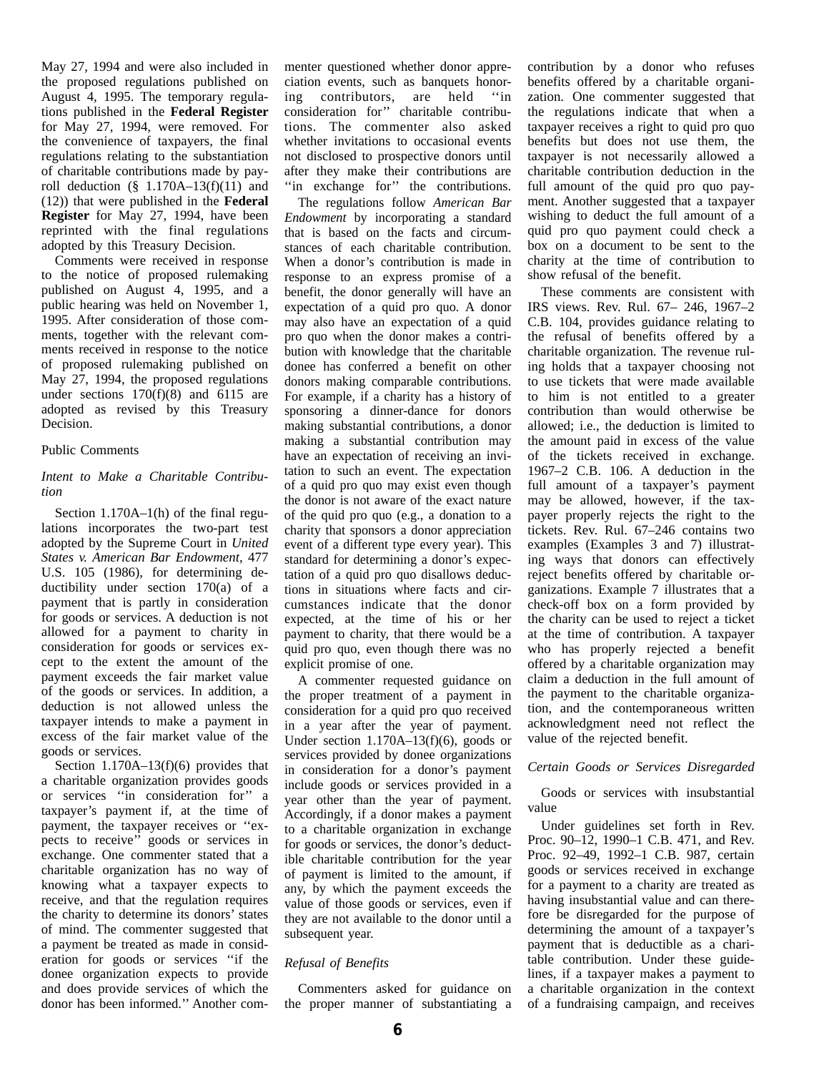May 27, 1994 and were also included in the proposed regulations published on August 4, 1995. The temporary regulations published in the **Federal Register** for May 27, 1994, were removed. For the convenience of taxpayers, the final regulations relating to the substantiation of charitable contributions made by payroll deduction  $(\S$  1.170A–13(f)(11) and (12)) that were published in the **Federal Register** for May 27, 1994, have been reprinted with the final regulations adopted by this Treasury Decision.

Comments were received in response to the notice of proposed rulemaking published on August 4, 1995, and a public hearing was held on November 1, 1995. After consideration of those comments, together with the relevant comments received in response to the notice of proposed rulemaking published on May 27, 1994, the proposed regulations under sections  $170(f)(8)$  and  $6115$  are adopted as revised by this Treasury Decision.

#### Public Comments

## *Intent to Make a Charitable Contribution*

Section 1.170A–1(h) of the final regulations incorporates the two-part test adopted by the Supreme Court in *United States v. American Bar Endowment*, 477 U.S. 105 (1986), for determining deductibility under section 170(a) of a payment that is partly in consideration for goods or services. A deduction is not allowed for a payment to charity in consideration for goods or services except to the extent the amount of the payment exceeds the fair market value of the goods or services. In addition, a deduction is not allowed unless the taxpayer intends to make a payment in excess of the fair market value of the goods or services.

Section 1.170A–13(f)(6) provides that a charitable organization provides goods or services ''in consideration for'' a taxpayer's payment if, at the time of payment, the taxpayer receives or ''expects to receive'' goods or services in exchange. One commenter stated that a charitable organization has no way of knowing what a taxpayer expects to receive, and that the regulation requires the charity to determine its donors' states of mind. The commenter suggested that a payment be treated as made in consideration for goods or services ''if the donee organization expects to provide and does provide services of which the donor has been informed.'' Another commenter questioned whether donor appreciation events, such as banquets honoring contributors, are held ''in consideration for'' charitable contributions. The commenter also asked whether invitations to occasional events not disclosed to prospective donors until after they make their contributions are "in exchange for" the contributions.

The regulations follow *American Bar Endowment* by incorporating a standard that is based on the facts and circumstances of each charitable contribution. When a donor's contribution is made in response to an express promise of a benefit, the donor generally will have an expectation of a quid pro quo. A donor may also have an expectation of a quid pro quo when the donor makes a contribution with knowledge that the charitable donee has conferred a benefit on other donors making comparable contributions. For example, if a charity has a history of sponsoring a dinner-dance for donors making substantial contributions, a donor making a substantial contribution may have an expectation of receiving an invitation to such an event. The expectation of a quid pro quo may exist even though the donor is not aware of the exact nature of the quid pro quo (e.g., a donation to a charity that sponsors a donor appreciation event of a different type every year). This standard for determining a donor's expectation of a quid pro quo disallows deductions in situations where facts and circumstances indicate that the donor expected, at the time of his or her payment to charity, that there would be a quid pro quo, even though there was no explicit promise of one.

A commenter requested guidance on the proper treatment of a payment in consideration for a quid pro quo received in a year after the year of payment. Under section  $1.170A-13(f)(6)$ , goods or services provided by donee organizations in consideration for a donor's payment include goods or services provided in a year other than the year of payment. Accordingly, if a donor makes a payment to a charitable organization in exchange for goods or services, the donor's deductible charitable contribution for the year of payment is limited to the amount, if any, by which the payment exceeds the value of those goods or services, even if they are not available to the donor until a subsequent year.

# *Refusal of Benefits*

Commenters asked for guidance on the proper manner of substantiating a contribution by a donor who refuses benefits offered by a charitable organization. One commenter suggested that the regulations indicate that when a taxpayer receives a right to quid pro quo benefits but does not use them, the taxpayer is not necessarily allowed a charitable contribution deduction in the full amount of the quid pro quo payment. Another suggested that a taxpayer wishing to deduct the full amount of a quid pro quo payment could check a box on a document to be sent to the charity at the time of contribution to show refusal of the benefit.

These comments are consistent with IRS views. Rev. Rul. 67– 246, 1967–2 C.B. 104, provides guidance relating to the refusal of benefits offered by a charitable organization. The revenue ruling holds that a taxpayer choosing not to use tickets that were made available to him is not entitled to a greater contribution than would otherwise be allowed; i.e., the deduction is limited to the amount paid in excess of the value of the tickets received in exchange. 1967–2 C.B. 106. A deduction in the full amount of a taxpayer's payment may be allowed, however, if the taxpayer properly rejects the right to the tickets. Rev. Rul. 67–246 contains two examples (Examples 3 and 7) illustrating ways that donors can effectively reject benefits offered by charitable organizations. Example 7 illustrates that a check-off box on a form provided by the charity can be used to reject a ticket at the time of contribution. A taxpayer who has properly rejected a benefit offered by a charitable organization may claim a deduction in the full amount of the payment to the charitable organization, and the contemporaneous written acknowledgment need not reflect the value of the rejected benefit.

#### *Certain Goods or Services Disregarded*

Goods or services with insubstantial value

Under guidelines set forth in Rev. Proc. 90–12, 1990–1 C.B. 471, and Rev. Proc. 92–49, 1992–1 C.B. 987, certain goods or services received in exchange for a payment to a charity are treated as having insubstantial value and can therefore be disregarded for the purpose of determining the amount of a taxpayer's payment that is deductible as a charitable contribution. Under these guidelines, if a taxpayer makes a payment to a charitable organization in the context of a fundraising campaign, and receives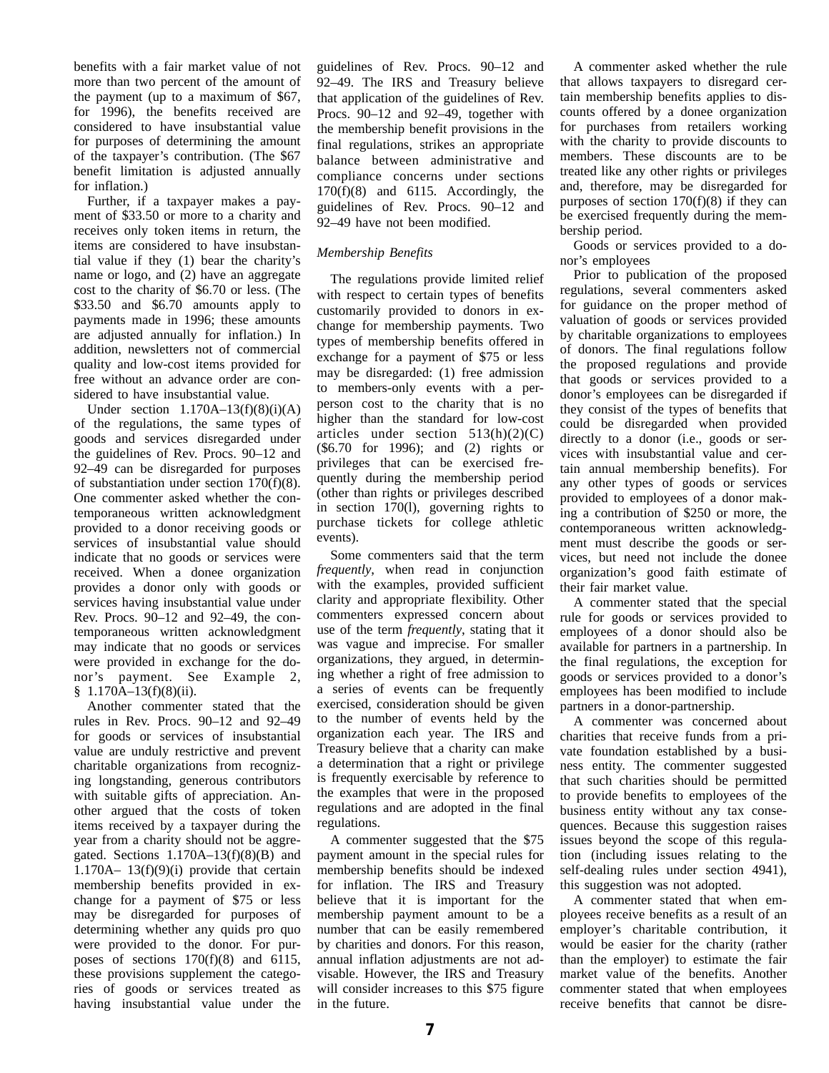benefits with a fair market value of not more than two percent of the amount of the payment (up to a maximum of \$67, for 1996), the benefits received are considered to have insubstantial value for purposes of determining the amount of the taxpayer's contribution. (The \$67 benefit limitation is adjusted annually for inflation.)

Further, if a taxpayer makes a payment of \$33.50 or more to a charity and receives only token items in return, the items are considered to have insubstantial value if they (1) bear the charity's name or logo, and (2) have an aggregate cost to the charity of \$6.70 or less. (The \$33.50 and \$6.70 amounts apply to payments made in 1996; these amounts are adjusted annually for inflation.) In addition, newsletters not of commercial quality and low-cost items provided for free without an advance order are considered to have insubstantial value.

Under section  $1.170A-13(f)(8)(i)(A)$ of the regulations, the same types of goods and services disregarded under the guidelines of Rev. Procs. 90–12 and 92–49 can be disregarded for purposes of substantiation under section 170(f)(8). One commenter asked whether the contemporaneous written acknowledgment provided to a donor receiving goods or services of insubstantial value should indicate that no goods or services were received. When a donee organization provides a donor only with goods or services having insubstantial value under Rev. Procs. 90–12 and 92–49, the contemporaneous written acknowledgment may indicate that no goods or services were provided in exchange for the donor's payment. See Example 2, § 1.170A-13(f)(8)(ii).

Another commenter stated that the rules in Rev. Procs. 90–12 and 92–49 for goods or services of insubstantial value are unduly restrictive and prevent charitable organizations from recognizing longstanding, generous contributors with suitable gifts of appreciation. Another argued that the costs of token items received by a taxpayer during the year from a charity should not be aggregated. Sections  $1.170A-13(f)(8)(B)$  and 1.170A– 13(f)(9)(i) provide that certain membership benefits provided in exchange for a payment of \$75 or less may be disregarded for purposes of determining whether any quids pro quo were provided to the donor. For purposes of sections 170(f)(8) and 6115, these provisions supplement the categories of goods or services treated as having insubstantial value under the

guidelines of Rev. Procs. 90–12 and 92–49. The IRS and Treasury believe that application of the guidelines of Rev. Procs. 90–12 and 92–49, together with the membership benefit provisions in the final regulations, strikes an appropriate balance between administrative and compliance concerns under sections 170(f)(8) and 6115. Accordingly, the guidelines of Rev. Procs. 90–12 and 92–49 have not been modified.

## *Membership Benefits*

The regulations provide limited relief with respect to certain types of benefits customarily provided to donors in exchange for membership payments. Two types of membership benefits offered in exchange for a payment of \$75 or less may be disregarded: (1) free admission to members-only events with a perperson cost to the charity that is no higher than the standard for low-cost articles under section  $513(h)(2)(C)$ (\$6.70 for 1996); and (2) rights or privileges that can be exercised frequently during the membership period (other than rights or privileges described in section 170(l), governing rights to purchase tickets for college athletic events).

Some commenters said that the term *frequently*, when read in conjunction with the examples, provided sufficient clarity and appropriate flexibility. Other commenters expressed concern about use of the term *frequently*, stating that it was vague and imprecise. For smaller organizations, they argued, in determining whether a right of free admission to a series of events can be frequently exercised, consideration should be given to the number of events held by the organization each year. The IRS and Treasury believe that a charity can make a determination that a right or privilege is frequently exercisable by reference to the examples that were in the proposed regulations and are adopted in the final regulations.

A commenter suggested that the \$75 payment amount in the special rules for membership benefits should be indexed for inflation. The IRS and Treasury believe that it is important for the membership payment amount to be a number that can be easily remembered by charities and donors. For this reason, annual inflation adjustments are not advisable. However, the IRS and Treasury will consider increases to this \$75 figure in the future.

A commenter asked whether the rule that allows taxpayers to disregard certain membership benefits applies to discounts offered by a donee organization for purchases from retailers working with the charity to provide discounts to members. These discounts are to be treated like any other rights or privileges and, therefore, may be disregarded for purposes of section  $170(f)(8)$  if they can be exercised frequently during the membership period.

Goods or services provided to a donor's employees

Prior to publication of the proposed regulations, several commenters asked for guidance on the proper method of valuation of goods or services provided by charitable organizations to employees of donors. The final regulations follow the proposed regulations and provide that goods or services provided to a donor's employees can be disregarded if they consist of the types of benefits that could be disregarded when provided directly to a donor (i.e., goods or services with insubstantial value and certain annual membership benefits). For any other types of goods or services provided to employees of a donor making a contribution of \$250 or more, the contemporaneous written acknowledgment must describe the goods or services, but need not include the donee organization's good faith estimate of their fair market value.

A commenter stated that the special rule for goods or services provided to employees of a donor should also be available for partners in a partnership. In the final regulations, the exception for goods or services provided to a donor's employees has been modified to include partners in a donor-partnership.

A commenter was concerned about charities that receive funds from a private foundation established by a business entity. The commenter suggested that such charities should be permitted to provide benefits to employees of the business entity without any tax consequences. Because this suggestion raises issues beyond the scope of this regulation (including issues relating to the self-dealing rules under section 4941), this suggestion was not adopted.

A commenter stated that when employees receive benefits as a result of an employer's charitable contribution, it would be easier for the charity (rather than the employer) to estimate the fair market value of the benefits. Another commenter stated that when employees receive benefits that cannot be disre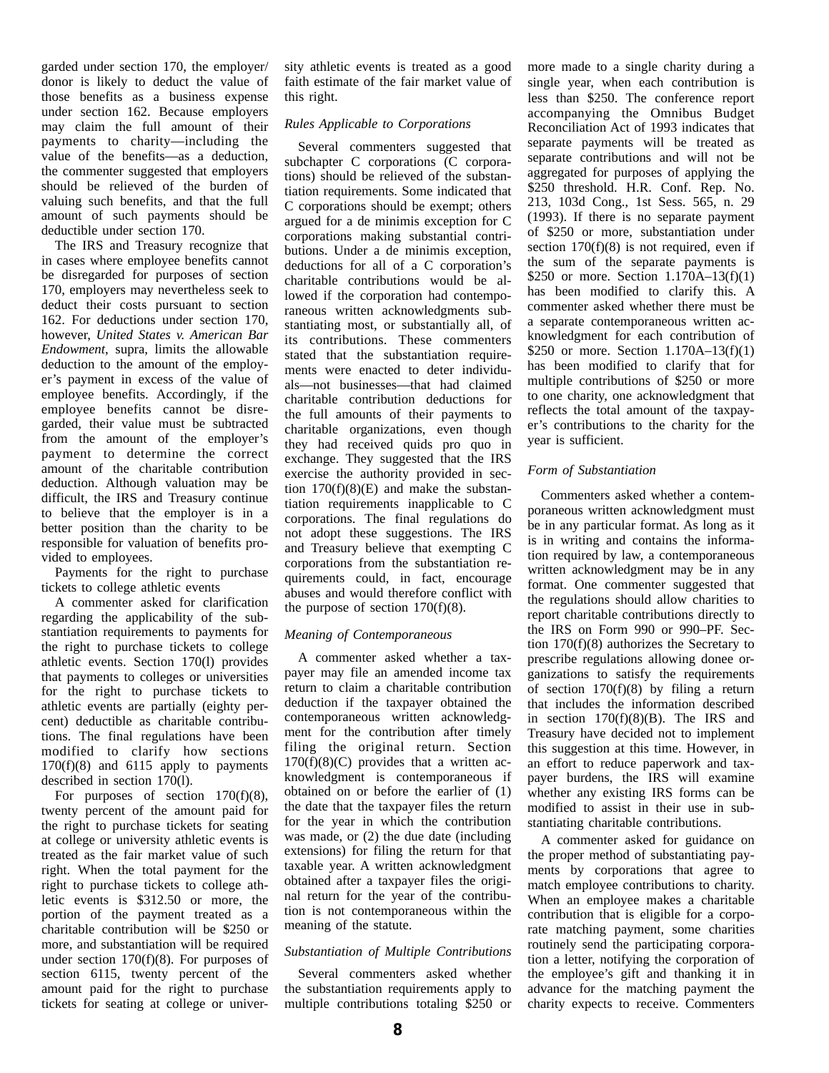garded under section 170, the employer/ donor is likely to deduct the value of those benefits as a business expense under section 162. Because employers may claim the full amount of their payments to charity—including the value of the benefits—as a deduction, the commenter suggested that employers should be relieved of the burden of valuing such benefits, and that the full amount of such payments should be deductible under section 170.

The IRS and Treasury recognize that in cases where employee benefits cannot be disregarded for purposes of section 170, employers may nevertheless seek to deduct their costs pursuant to section 162. For deductions under section 170, however, *United States v. American Bar Endowment*, supra, limits the allowable deduction to the amount of the employer's payment in excess of the value of employee benefits. Accordingly, if the employee benefits cannot be disregarded, their value must be subtracted from the amount of the employer's payment to determine the correct amount of the charitable contribution deduction. Although valuation may be difficult, the IRS and Treasury continue to believe that the employer is in a better position than the charity to be responsible for valuation of benefits provided to employees.

Payments for the right to purchase tickets to college athletic events

A commenter asked for clarification regarding the applicability of the substantiation requirements to payments for the right to purchase tickets to college athletic events. Section 170(l) provides that payments to colleges or universities for the right to purchase tickets to athletic events are partially (eighty percent) deductible as charitable contributions. The final regulations have been modified to clarify how sections  $170(f)(8)$  and  $6115$  apply to payments described in section 170(l).

For purposes of section 170(f)(8), twenty percent of the amount paid for the right to purchase tickets for seating at college or university athletic events is treated as the fair market value of such right. When the total payment for the right to purchase tickets to college athletic events is \$312.50 or more, the portion of the payment treated as a charitable contribution will be \$250 or more, and substantiation will be required under section 170(f)(8). For purposes of section 6115, twenty percent of the amount paid for the right to purchase tickets for seating at college or university athletic events is treated as a good faith estimate of the fair market value of this right.

## *Rules Applicable to Corporations*

Several commenters suggested that subchapter C corporations (C corporations) should be relieved of the substantiation requirements. Some indicated that C corporations should be exempt; others argued for a de minimis exception for C corporations making substantial contributions. Under a de minimis exception, deductions for all of a C corporation's charitable contributions would be allowed if the corporation had contemporaneous written acknowledgments substantiating most, or substantially all, of its contributions. These commenters stated that the substantiation requirements were enacted to deter individuals—not businesses—that had claimed charitable contribution deductions for the full amounts of their payments to charitable organizations, even though they had received quids pro quo in exchange. They suggested that the IRS exercise the authority provided in section  $170(f)(8)(E)$  and make the substantiation requirements inapplicable to C corporations. The final regulations do not adopt these suggestions. The IRS and Treasury believe that exempting C corporations from the substantiation requirements could, in fact, encourage abuses and would therefore conflict with the purpose of section  $170(f)(8)$ .

### *Meaning of Contemporaneous*

A commenter asked whether a taxpayer may file an amended income tax return to claim a charitable contribution deduction if the taxpayer obtained the contemporaneous written acknowledgment for the contribution after timely filing the original return. Section  $170(f)(8)(C)$  provides that a written acknowledgment is contemporaneous if obtained on or before the earlier of (1) the date that the taxpayer files the return for the year in which the contribution was made, or (2) the due date (including extensions) for filing the return for that taxable year. A written acknowledgment obtained after a taxpayer files the original return for the year of the contribution is not contemporaneous within the meaning of the statute.

### *Substantiation of Multiple Contributions*

Several commenters asked whether the substantiation requirements apply to multiple contributions totaling \$250 or

more made to a single charity during a single year, when each contribution is less than \$250. The conference report accompanying the Omnibus Budget Reconciliation Act of 1993 indicates that separate payments will be treated as separate contributions and will not be aggregated for purposes of applying the \$250 threshold. H.R. Conf. Rep. No. 213, 103d Cong., 1st Sess. 565, n. 29 (1993). If there is no separate payment of \$250 or more, substantiation under section  $170(f)(8)$  is not required, even if the sum of the separate payments is \$250 or more. Section  $1.170A-13(f)(1)$ has been modified to clarify this. A commenter asked whether there must be a separate contemporaneous written acknowledgment for each contribution of \$250 or more. Section  $1.170A-13(f)(1)$ has been modified to clarify that for multiple contributions of \$250 or more to one charity, one acknowledgment that reflects the total amount of the taxpayer's contributions to the charity for the year is sufficient.

### *Form of Substantiation*

Commenters asked whether a contemporaneous written acknowledgment must be in any particular format. As long as it is in writing and contains the information required by law, a contemporaneous written acknowledgment may be in any format. One commenter suggested that the regulations should allow charities to report charitable contributions directly to the IRS on Form 990 or 990–PF. Section 170(f)(8) authorizes the Secretary to prescribe regulations allowing donee organizations to satisfy the requirements of section  $170(f)(8)$  by filing a return that includes the information described in section  $170(f)(8)(B)$ . The IRS and Treasury have decided not to implement this suggestion at this time. However, in an effort to reduce paperwork and taxpayer burdens, the IRS will examine whether any existing IRS forms can be modified to assist in their use in substantiating charitable contributions.

A commenter asked for guidance on the proper method of substantiating payments by corporations that agree to match employee contributions to charity. When an employee makes a charitable contribution that is eligible for a corporate matching payment, some charities routinely send the participating corporation a letter, notifying the corporation of the employee's gift and thanking it in advance for the matching payment the charity expects to receive. Commenters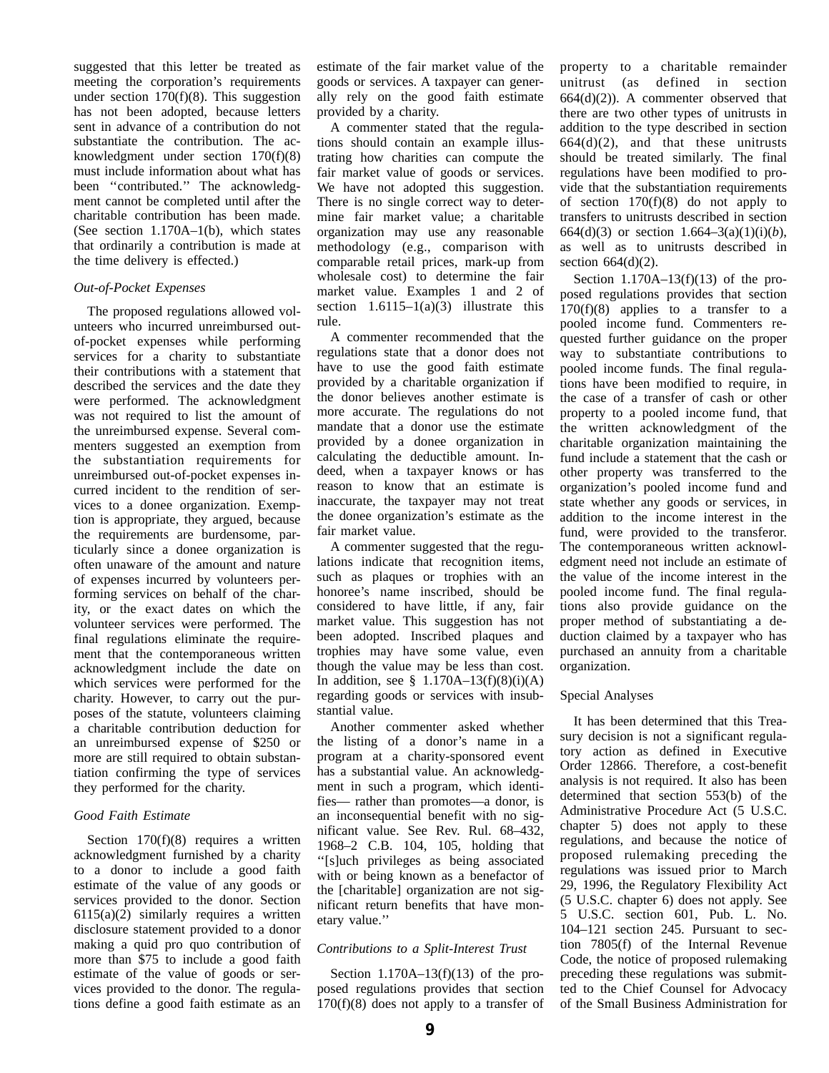suggested that this letter be treated as meeting the corporation's requirements under section  $170(f)(8)$ . This suggestion has not been adopted, because letters sent in advance of a contribution do not substantiate the contribution. The acknowledgment under section 170(f)(8) must include information about what has been ''contributed.'' The acknowledgment cannot be completed until after the charitable contribution has been made. (See section 1.170A–1(b), which states that ordinarily a contribution is made at the time delivery is effected.)

### *Out-of-Pocket Expenses*

The proposed regulations allowed volunteers who incurred unreimbursed outof-pocket expenses while performing services for a charity to substantiate their contributions with a statement that described the services and the date they were performed. The acknowledgment was not required to list the amount of the unreimbursed expense. Several commenters suggested an exemption from the substantiation requirements for unreimbursed out-of-pocket expenses incurred incident to the rendition of services to a donee organization. Exemption is appropriate, they argued, because the requirements are burdensome, particularly since a donee organization is often unaware of the amount and nature of expenses incurred by volunteers performing services on behalf of the charity, or the exact dates on which the volunteer services were performed. The final regulations eliminate the requirement that the contemporaneous written acknowledgment include the date on which services were performed for the charity. However, to carry out the purposes of the statute, volunteers claiming a charitable contribution deduction for an unreimbursed expense of \$250 or more are still required to obtain substantiation confirming the type of services they performed for the charity.

### *Good Faith Estimate*

Section 170(f)(8) requires a written acknowledgment furnished by a charity to a donor to include a good faith estimate of the value of any goods or services provided to the donor. Section  $6115(a)(2)$  similarly requires a written disclosure statement provided to a donor making a quid pro quo contribution of more than \$75 to include a good faith estimate of the value of goods or services provided to the donor. The regulations define a good faith estimate as an

estimate of the fair market value of the goods or services. A taxpayer can generally rely on the good faith estimate provided by a charity.

A commenter stated that the regulations should contain an example illustrating how charities can compute the fair market value of goods or services. We have not adopted this suggestion. There is no single correct way to determine fair market value; a charitable organization may use any reasonable methodology (e.g., comparison with comparable retail prices, mark-up from wholesale cost) to determine the fair market value. Examples 1 and 2 of section  $1.6115-1(a)(3)$  illustrate this rule.

A commenter recommended that the regulations state that a donor does not have to use the good faith estimate provided by a charitable organization if the donor believes another estimate is more accurate. The regulations do not mandate that a donor use the estimate provided by a donee organization in calculating the deductible amount. Indeed, when a taxpayer knows or has reason to know that an estimate is inaccurate, the taxpayer may not treat the donee organization's estimate as the fair market value.

A commenter suggested that the regulations indicate that recognition items, such as plaques or trophies with an honoree's name inscribed, should be considered to have little, if any, fair market value. This suggestion has not been adopted. Inscribed plaques and trophies may have some value, even though the value may be less than cost. In addition, see  $§$  1.170A–13(f)(8)(i)(A) regarding goods or services with insubstantial value.

Another commenter asked whether the listing of a donor's name in a program at a charity-sponsored event has a substantial value. An acknowledgment in such a program, which identifies— rather than promotes—a donor, is an inconsequential benefit with no significant value. See Rev. Rul. 68–432, 1968–2 C.B. 104, 105, holding that ''[s]uch privileges as being associated with or being known as a benefactor of the [charitable] organization are not significant return benefits that have monetary value.''

### *Contributions to a Split-Interest Trust*

Section  $1.170A-13(f)(13)$  of the proposed regulations provides that section  $170(f)(8)$  does not apply to a transfer of

property to a charitable remainder unitrust (as defined in section  $664(d)(2)$ ). A commenter observed that there are two other types of unitrusts in addition to the type described in section  $664(d)(2)$ , and that these unitrusts should be treated similarly. The final regulations have been modified to provide that the substantiation requirements of section  $170(f)(8)$  do not apply to transfers to unitrusts described in section 664(d)(3) or section  $1.664-3(a)(1)(i)(b)$ , as well as to unitrusts described in section 664(d)(2).

Section 1.170A–13(f)(13) of the proposed regulations provides that section 170(f)(8) applies to a transfer to a pooled income fund. Commenters requested further guidance on the proper way to substantiate contributions to pooled income funds. The final regulations have been modified to require, in the case of a transfer of cash or other property to a pooled income fund, that the written acknowledgment of the charitable organization maintaining the fund include a statement that the cash or other property was transferred to the organization's pooled income fund and state whether any goods or services, in addition to the income interest in the fund, were provided to the transferor. The contemporaneous written acknowledgment need not include an estimate of the value of the income interest in the pooled income fund. The final regulations also provide guidance on the proper method of substantiating a deduction claimed by a taxpayer who has purchased an annuity from a charitable organization.

### Special Analyses

It has been determined that this Treasury decision is not a significant regulatory action as defined in Executive Order 12866. Therefore, a cost-benefit analysis is not required. It also has been determined that section 553(b) of the Administrative Procedure Act (5 U.S.C. chapter 5) does not apply to these regulations, and because the notice of proposed rulemaking preceding the regulations was issued prior to March 29, 1996, the Regulatory Flexibility Act (5 U.S.C. chapter 6) does not apply. See 5 U.S.C. section 601, Pub. L. No. 104–121 section 245. Pursuant to section 7805(f) of the Internal Revenue Code, the notice of proposed rulemaking preceding these regulations was submitted to the Chief Counsel for Advocacy of the Small Business Administration for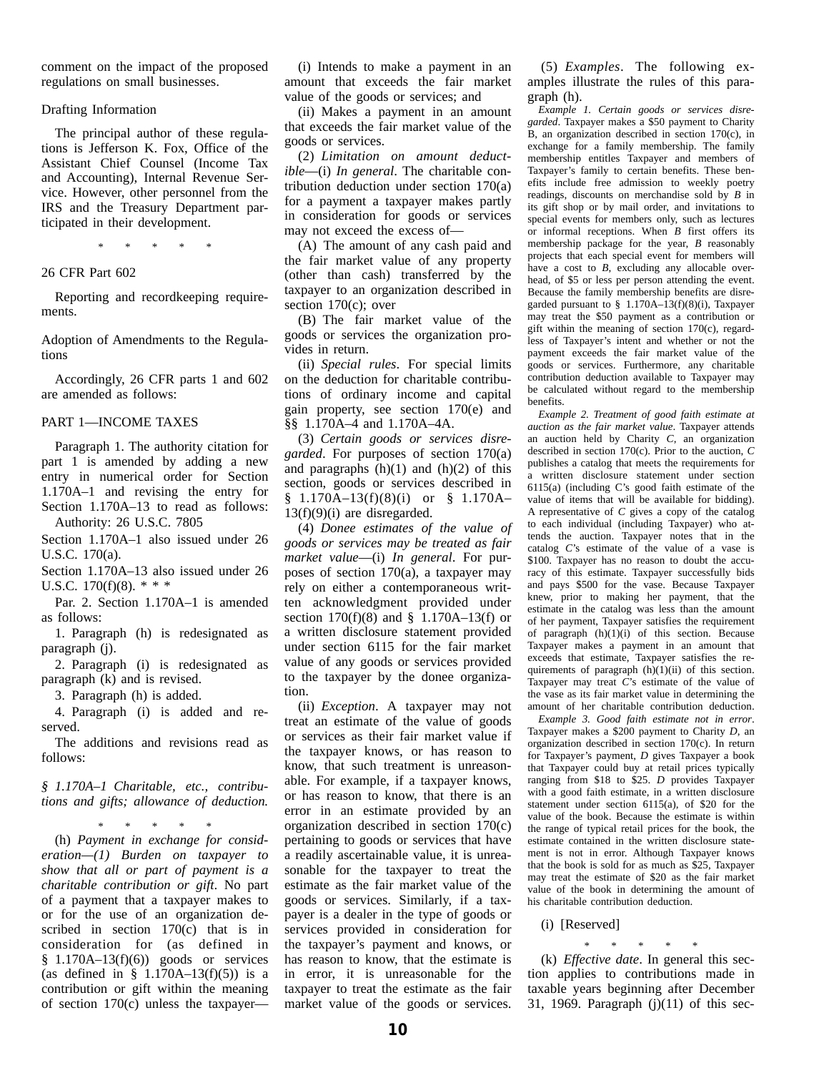comment on the impact of the proposed regulations on small businesses.

#### Drafting Information

The principal author of these regulations is Jefferson K. Fox, Office of the Assistant Chief Counsel (Income Tax and Accounting), Internal Revenue Service. However, other personnel from the IRS and the Treasury Department participated in their development.

 $*$  \*

#### 26 CFR Part 602

Reporting and recordkeeping requirements.

Adoption of Amendments to the Regulations

Accordingly, 26 CFR parts 1 and 602 are amended as follows:

#### PART 1—INCOME TAXES

Paragraph 1. The authority citation for part 1 is amended by adding a new entry in numerical order for Section 1.170A–1 and revising the entry for Section 1.170A–13 to read as follows: Authority: 26 U.S.C. 7805

Section 1.170A–1 also issued under 26

U.S.C. 170(a).

Section 1.170A–13 also issued under 26 U.S.C. 170(f)(8).  $* * *$ 

Par. 2. Section 1.170A–1 is amended as follows:

1. Paragraph (h) is redesignated as paragraph (j).

2. Paragraph (i) is redesignated as paragraph (k) and is revised.

3. Paragraph (h) is added.

4. Paragraph (i) is added and reserved.

The additions and revisions read as follows:

*§ 1.170A–1 Charitable, etc., contributions and gifts; allowance of deduction.*

\* \* \* \* \* (h) *Payment in exchange for consideration—(1) Burden on taxpayer to show that all or part of payment is a charitable contribution or gift*. No part of a payment that a taxpayer makes to or for the use of an organization described in section 170(c) that is in consideration for (as defined in  $$ 1.170A-13(f)(6)$  goods or services (as defined in §  $1.170A-13(f)(5)$ ) is a contribution or gift within the meaning of section 170(c) unless the taxpayer—

(i) Intends to make a payment in an amount that exceeds the fair market value of the goods or services; and

(ii) Makes a payment in an amount that exceeds the fair market value of the goods or services.

(2) *Limitation on amount deductible*—(i) *In general*. The charitable contribution deduction under section 170(a) for a payment a taxpayer makes partly in consideration for goods or services may not exceed the excess of—

(A) The amount of any cash paid and the fair market value of any property (other than cash) transferred by the taxpayer to an organization described in section 170(c); over

(B) The fair market value of the goods or services the organization provides in return.

(ii) *Special rules*. For special limits on the deduction for charitable contributions of ordinary income and capital gain property, see section 170(e) and §§ 1.170A–4 and 1.170A–4A.

(3) *Certain goods or services disregarded*. For purposes of section 170(a) and paragraphs  $(h)(1)$  and  $(h)(2)$  of this section, goods or services described in § 1.170A–13(f)(8)(i) or § 1.170A–  $13(f)(9)(i)$  are disregarded.

(4) *Donee estimates of the value of goods or services may be treated as fair market value*—(i) *In general*. For purposes of section 170(a), a taxpayer may rely on either a contemporaneous written acknowledgment provided under section  $170(f)(8)$  and §  $1.170A-13(f)$  or a written disclosure statement provided under section 6115 for the fair market value of any goods or services provided to the taxpayer by the donee organization.

(ii) *Exception*. A taxpayer may not treat an estimate of the value of goods or services as their fair market value if the taxpayer knows, or has reason to know, that such treatment is unreasonable. For example, if a taxpayer knows, or has reason to know, that there is an error in an estimate provided by an organization described in section 170(c) pertaining to goods or services that have a readily ascertainable value, it is unreasonable for the taxpayer to treat the estimate as the fair market value of the goods or services. Similarly, if a taxpayer is a dealer in the type of goods or services provided in consideration for the taxpayer's payment and knows, or has reason to know, that the estimate is in error, it is unreasonable for the taxpayer to treat the estimate as the fair market value of the goods or services.

(5) *Examples*. The following examples illustrate the rules of this paragraph (h).

*Example 1. Certain goods or services disregarded*. Taxpayer makes a \$50 payment to Charity B, an organization described in section 170(c), in exchange for a family membership. The family membership entitles Taxpayer and members of Taxpayer's family to certain benefits. These benefits include free admission to weekly poetry readings, discounts on merchandise sold by *B* in its gift shop or by mail order, and invitations to special events for members only, such as lectures or informal receptions. When *B* first offers its membership package for the year, *B* reasonably projects that each special event for members will have a cost to *B*, excluding any allocable overhead, of \$5 or less per person attending the event. Because the family membership benefits are disregarded pursuant to  $\frac{8}{9}$  1.170A–13(f)(8)(i), Taxpayer may treat the \$50 payment as a contribution or gift within the meaning of section 170(c), regardless of Taxpayer's intent and whether or not the payment exceeds the fair market value of the goods or services. Furthermore, any charitable contribution deduction available to Taxpayer may be calculated without regard to the membership benefits.

*Example 2. Treatment of good faith estimate at auction as the fair market value*. Taxpayer attends an auction held by Charity *C*, an organization described in section 170(c). Prior to the auction, *C* publishes a catalog that meets the requirements for a written disclosure statement under section 6115(a) (including C's good faith estimate of the value of items that will be available for bidding). A representative of *C* gives a copy of the catalog to each individual (including Taxpayer) who attends the auction. Taxpayer notes that in the catalog *C*'s estimate of the value of a vase is \$100. Taxpayer has no reason to doubt the accuracy of this estimate. Taxpayer successfully bids and pays \$500 for the vase. Because Taxpayer knew, prior to making her payment, that the estimate in the catalog was less than the amount of her payment, Taxpayer satisfies the requirement of paragraph  $(h)(1)(i)$  of this section. Because Taxpayer makes a payment in an amount that exceeds that estimate, Taxpayer satisfies the requirements of paragraph  $(h)(1)(ii)$  of this section. Taxpayer may treat *C*'s estimate of the value of the vase as its fair market value in determining the amount of her charitable contribution deduction.

*Example 3. Good faith estimate not in error*. Taxpayer makes a \$200 payment to Charity *D*, an organization described in section 170(c). In return for Taxpayer's payment, *D* gives Taxpayer a book that Taxpayer could buy at retail prices typically ranging from \$18 to \$25. *D* provides Taxpayer with a good faith estimate, in a written disclosure statement under section 6115(a), of \$20 for the value of the book. Because the estimate is within the range of typical retail prices for the book, the estimate contained in the written disclosure statement is not in error. Although Taxpayer knows that the book is sold for as much as \$25, Taxpayer may treat the estimate of \$20 as the fair market value of the book in determining the amount of his charitable contribution deduction.

(i) [Reserved]

(k) *Effective date*. In general this section applies to contributions made in taxable years beginning after December 31, 1969. Paragraph (j)(11) of this sec-

\* \* \* \* \*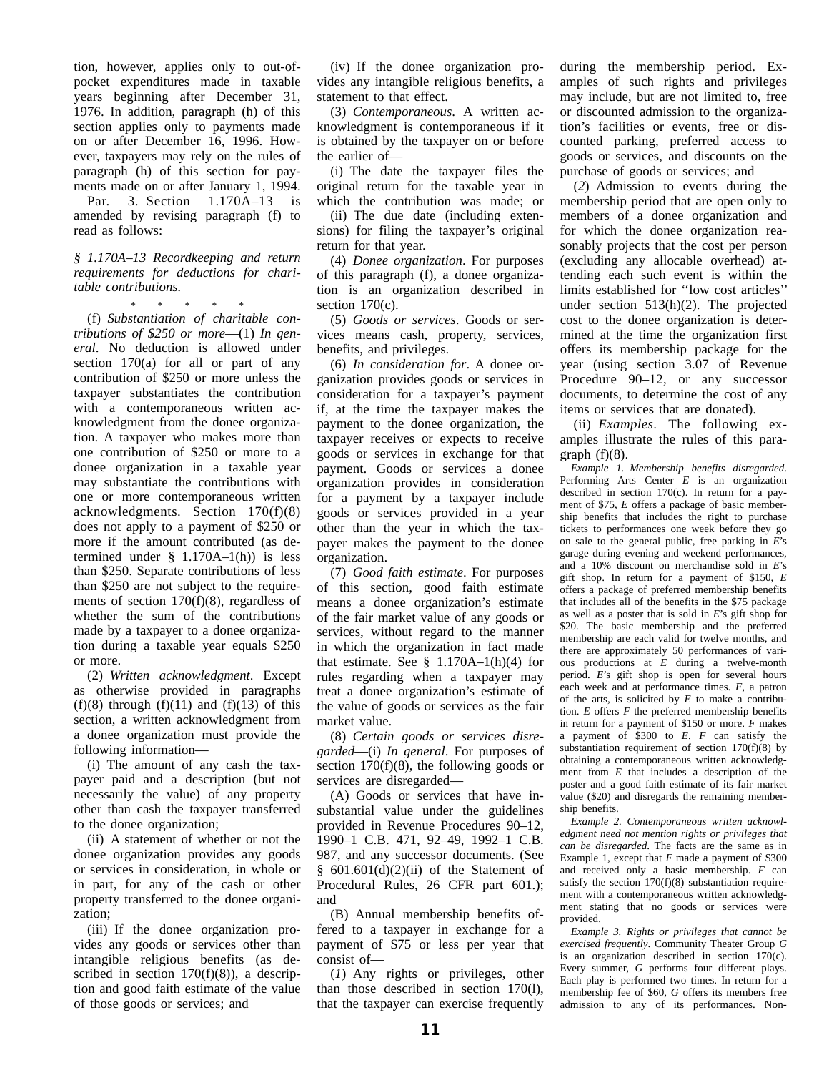tion, however, applies only to out-ofpocket expenditures made in taxable years beginning after December 31, 1976. In addition, paragraph (h) of this section applies only to payments made on or after December 16, 1996. However, taxpayers may rely on the rules of paragraph (h) of this section for payments made on or after January 1, 1994.

Par. 3. Section 1.170A–13 is amended by revising paragraph (f) to read as follows:

#### *§ 1.170A–13 Recordkeeping and return requirements for deductions for charitable contributions.*

\* \* \* \* \* (f) *Substantiation of charitable contributions of \$250 or more*—(1) *In general*. No deduction is allowed under section 170(a) for all or part of any contribution of \$250 or more unless the taxpayer substantiates the contribution with a contemporaneous written acknowledgment from the donee organization. A taxpayer who makes more than one contribution of \$250 or more to a donee organization in a taxable year may substantiate the contributions with one or more contemporaneous written acknowledgments. Section 170(f)(8) does not apply to a payment of \$250 or more if the amount contributed (as determined under  $\S$  1.170A–1(h)) is less than \$250. Separate contributions of less than \$250 are not subject to the requirements of section 170(f)(8), regardless of whether the sum of the contributions made by a taxpayer to a donee organization during a taxable year equals \$250 or more.

(2) *Written acknowledgment*. Except as otherwise provided in paragraphs  $(f)(8)$  through  $(f)(11)$  and  $(f)(13)$  of this section, a written acknowledgment from a donee organization must provide the following information—

(i) The amount of any cash the taxpayer paid and a description (but not necessarily the value) of any property other than cash the taxpayer transferred to the donee organization;

(ii) A statement of whether or not the donee organization provides any goods or services in consideration, in whole or in part, for any of the cash or other property transferred to the donee organization;

(iii) If the donee organization provides any goods or services other than intangible religious benefits (as described in section  $170(f)(8)$ ), a description and good faith estimate of the value of those goods or services; and

(iv) If the donee organization provides any intangible religious benefits, a statement to that effect.

(3) *Contemporaneous*. A written acknowledgment is contemporaneous if it is obtained by the taxpayer on or before the earlier of—

(i) The date the taxpayer files the original return for the taxable year in which the contribution was made; or

(ii) The due date (including extensions) for filing the taxpayer's original return for that year.

(4) *Donee organization*. For purposes of this paragraph (f), a donee organization is an organization described in section 170(c).

(5) *Goods or services*. Goods or services means cash, property, services, benefits, and privileges.

(6) *In consideration for*. A donee organization provides goods or services in consideration for a taxpayer's payment if, at the time the taxpayer makes the payment to the donee organization, the taxpayer receives or expects to receive goods or services in exchange for that payment. Goods or services a donee organization provides in consideration for a payment by a taxpayer include goods or services provided in a year other than the year in which the taxpayer makes the payment to the donee organization.

(7) *Good faith estimate*. For purposes of this section, good faith estimate means a donee organization's estimate of the fair market value of any goods or services, without regard to the manner in which the organization in fact made that estimate. See  $\S$  1.170A–1(h)(4) for rules regarding when a taxpayer may treat a donee organization's estimate of the value of goods or services as the fair market value.

(8) *Certain goods or services disregarded*—(i) *In general*. For purposes of section  $170(f)(8)$ , the following goods or services are disregarded—

(A) Goods or services that have insubstantial value under the guidelines provided in Revenue Procedures 90–12, 1990–1 C.B. 471, 92–49, 1992–1 C.B. 987, and any successor documents. (See §  $601.601(d)(2)(ii)$  of the Statement of Procedural Rules, 26 CFR part 601.); and

(B) Annual membership benefits offered to a taxpayer in exchange for a payment of \$75 or less per year that consist of—

(*1*) Any rights or privileges, other than those described in section 170(l), that the taxpayer can exercise frequently

during the membership period. Examples of such rights and privileges may include, but are not limited to, free or discounted admission to the organization's facilities or events, free or discounted parking, preferred access to goods or services, and discounts on the purchase of goods or services; and

(*2*) Admission to events during the membership period that are open only to members of a donee organization and for which the donee organization reasonably projects that the cost per person (excluding any allocable overhead) attending each such event is within the limits established for ''low cost articles'' under section 513(h)(2). The projected cost to the donee organization is determined at the time the organization first offers its membership package for the year (using section 3.07 of Revenue Procedure 90–12, or any successor documents, to determine the cost of any items or services that are donated).

(ii) *Examples*. The following examples illustrate the rules of this paragraph  $(f)(8)$ .

*Example 1. Membership benefits disregarded*. Performing Arts Center *E* is an organization described in section 170(c). In return for a payment of \$75, *E* offers a package of basic membership benefits that includes the right to purchase tickets to performances one week before they go on sale to the general public, free parking in *E*'s garage during evening and weekend performances, and a 10% discount on merchandise sold in *E*'s gift shop. In return for a payment of \$150, *E* offers a package of preferred membership benefits that includes all of the benefits in the \$75 package as well as a poster that is sold in *E*'s gift shop for \$20. The basic membership and the preferred membership are each valid for twelve months, and there are approximately 50 performances of various productions at *E* during a twelve-month period. *E*'s gift shop is open for several hours each week and at performance times. *F*, a patron of the arts, is solicited by *E* to make a contribution. *E* offers *F* the preferred membership benefits in return for a payment of \$150 or more. *F* makes a payment of \$300 to *E*. *F* can satisfy the substantiation requirement of section 170(f)(8) by obtaining a contemporaneous written acknowledgment from *E* that includes a description of the poster and a good faith estimate of its fair market value (\$20) and disregards the remaining membership benefits.

*Example 2. Contemporaneous written acknowledgment need not mention rights or privileges that can be disregarded*. The facts are the same as in Example 1, except that *F* made a payment of \$300 and received only a basic membership. *F* can satisfy the section  $170(f)(8)$  substantiation requirement with a contemporaneous written acknowledgment stating that no goods or services were provided.

*Example 3. Rights or privileges that cannot be exercised frequently*. Community Theater Group *G* is an organization described in section  $170(c)$ . Every summer, *G* performs four different plays. Each play is performed two times. In return for a membership fee of \$60, *G* offers its members free admission to any of its performances. Non-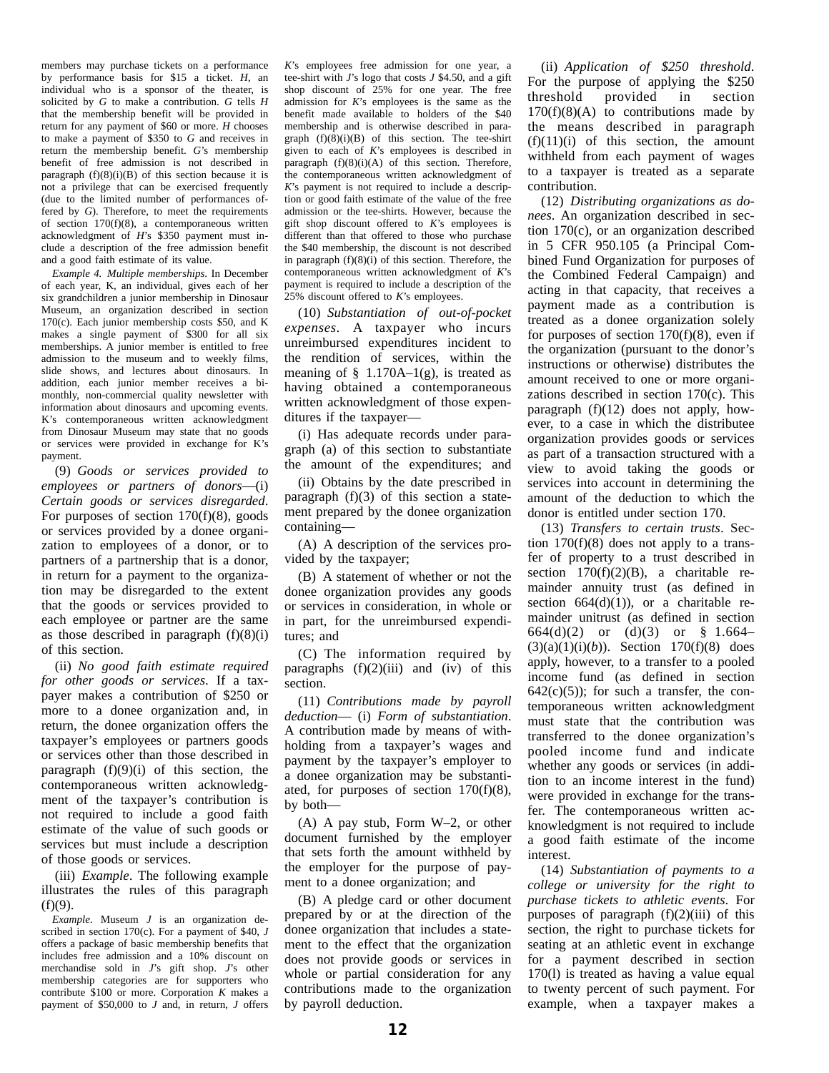members may purchase tickets on a performance by performance basis for \$15 a ticket. *H*, an individual who is a sponsor of the theater, is solicited by *G* to make a contribution. *G* tells *H* that the membership benefit will be provided in return for any payment of \$60 or more. *H* chooses to make a payment of \$350 to *G* and receives in return the membership benefit. *G*'s membership benefit of free admission is not described in paragraph  $(f)(8)(i)(B)$  of this section because it is not a privilege that can be exercised frequently (due to the limited number of performances offered by *G*). Therefore, to meet the requirements of section 170(f)(8), a contemporaneous written acknowledgment of *H*'s \$350 payment must include a description of the free admission benefit and a good faith estimate of its value.

*Example 4. Multiple memberships*. In December of each year, K, an individual, gives each of her six grandchildren a junior membership in Dinosaur Museum, an organization described in section 170(c). Each junior membership costs \$50, and K makes a single payment of \$300 for all six memberships. A junior member is entitled to free admission to the museum and to weekly films, slide shows, and lectures about dinosaurs. In addition, each junior member receives a bimonthly, non-commercial quality newsletter with information about dinosaurs and upcoming events. K's contemporaneous written acknowledgment from Dinosaur Museum may state that no goods or services were provided in exchange for K's payment.

(9) *Goods or services provided to employees or partners of donors*—(i) *Certain goods or services disregarded*. For purposes of section  $170(f)(8)$ , goods or services provided by a donee organization to employees of a donor, or to partners of a partnership that is a donor, in return for a payment to the organization may be disregarded to the extent that the goods or services provided to each employee or partner are the same as those described in paragraph  $(f)(8)(i)$ of this section.

(ii) *No good faith estimate required for other goods or services*. If a taxpayer makes a contribution of \$250 or more to a donee organization and, in return, the donee organization offers the taxpayer's employees or partners goods or services other than those described in paragraph  $(f)(9)(i)$  of this section, the contemporaneous written acknowledgment of the taxpayer's contribution is not required to include a good faith estimate of the value of such goods or services but must include a description of those goods or services.

(iii) *Example*. The following example illustrates the rules of this paragraph  $(f)(9)$ .

*Example*. Museum *J* is an organization described in section  $170(c)$ . For a payment of \$40, *J* offers a package of basic membership benefits that includes free admission and a 10% discount on merchandise sold in *J*'s gift shop. *J*'s other membership categories are for supporters who contribute \$100 or more. Corporation *K* makes a payment of \$50,000 to *J* and, in return, *J* offers *K*'s employees free admission for one year, a tee-shirt with *J*'s logo that costs *J* \$4.50, and a gift shop discount of 25% for one year. The free admission for *K*'s employees is the same as the benefit made available to holders of the \$40 membership and is otherwise described in paragraph  $(f)(8)(i)(B)$  of this section. The tee-shirt given to each of *K*'s employees is described in paragraph  $(f)(8)(i)(A)$  of this section. Therefore, the contemporaneous written acknowledgment of *K*'s payment is not required to include a description or good faith estimate of the value of the free admission or the tee-shirts. However, because the gift shop discount offered to *K*'s employees is different than that offered to those who purchase the \$40 membership, the discount is not described in paragraph  $(f)(8)(i)$  of this section. Therefore, the contemporaneous written acknowledgment of *K*'s payment is required to include a description of the 25% discount offered to *K*'s employees.

(10) *Substantiation of out-of-pocket expenses.* A taxpayer who incurs unreimbursed expenditures incident to the rendition of services, within the meaning of  $\S$  1.170A–1(g), is treated as having obtained a contemporaneous written acknowledgment of those expenditures if the taxpayer—

(i) Has adequate records under paragraph (a) of this section to substantiate the amount of the expenditures; and

(ii) Obtains by the date prescribed in paragraph (f)(3) of this section a statement prepared by the donee organization containing—

(A) A description of the services provided by the taxpayer;

(B) A statement of whether or not the donee organization provides any goods or services in consideration, in whole or in part, for the unreimbursed expenditures; and

(C) The information required by paragraphs  $(f)(2)(iii)$  and  $(iv)$  of this section.

(11) *Contributions made by payroll deduction*— (i) *Form of substantiation*. A contribution made by means of withholding from a taxpayer's wages and payment by the taxpayer's employer to a donee organization may be substantiated, for purposes of section  $170(f)(8)$ , by both—

(A) A pay stub, Form W–2, or other document furnished by the employer that sets forth the amount withheld by the employer for the purpose of payment to a donee organization; and

(B) A pledge card or other document prepared by or at the direction of the donee organization that includes a statement to the effect that the organization does not provide goods or services in whole or partial consideration for any contributions made to the organization by payroll deduction.

(ii) *Application of \$250 threshold*. For the purpose of applying the \$250 threshold provided in section  $170(f)(8)(A)$  to contributions made by the means described in paragraph  $(f)(11)(i)$  of this section, the amount withheld from each payment of wages to a taxpayer is treated as a separate contribution.

(12) *Distributing organizations as donees*. An organization described in section 170(c), or an organization described in 5 CFR 950.105 (a Principal Combined Fund Organization for purposes of the Combined Federal Campaign) and acting in that capacity, that receives a payment made as a contribution is treated as a donee organization solely for purposes of section  $170(f)(8)$ , even if the organization (pursuant to the donor's instructions or otherwise) distributes the amount received to one or more organizations described in section 170(c). This paragraph (f)(12) does not apply, however, to a case in which the distributee organization provides goods or services as part of a transaction structured with a view to avoid taking the goods or services into account in determining the amount of the deduction to which the donor is entitled under section 170.

(13) *Transfers to certain trusts*. Section  $170(f)(8)$  does not apply to a transfer of property to a trust described in section  $170(f)(2)(B)$ , a charitable remainder annuity trust (as defined in section  $664(d)(1)$ , or a charitable remainder unitrust (as defined in section 664(d)(2) or (d)(3) or § 1.664–  $(3)(a)(1)(i)(b)$ . Section 170(f)(8) does apply, however, to a transfer to a pooled income fund (as defined in section  $642(c)(5)$ ; for such a transfer, the contemporaneous written acknowledgment must state that the contribution was transferred to the donee organization's pooled income fund and indicate whether any goods or services (in addition to an income interest in the fund) were provided in exchange for the transfer. The contemporaneous written acknowledgment is not required to include a good faith estimate of the income interest.

(14) *Substantiation of payments to a college or university for the right to purchase tickets to athletic events*. For purposes of paragraph  $(f)(2)(iii)$  of this section, the right to purchase tickets for seating at an athletic event in exchange for a payment described in section 170(l) is treated as having a value equal to twenty percent of such payment. For example, when a taxpayer makes a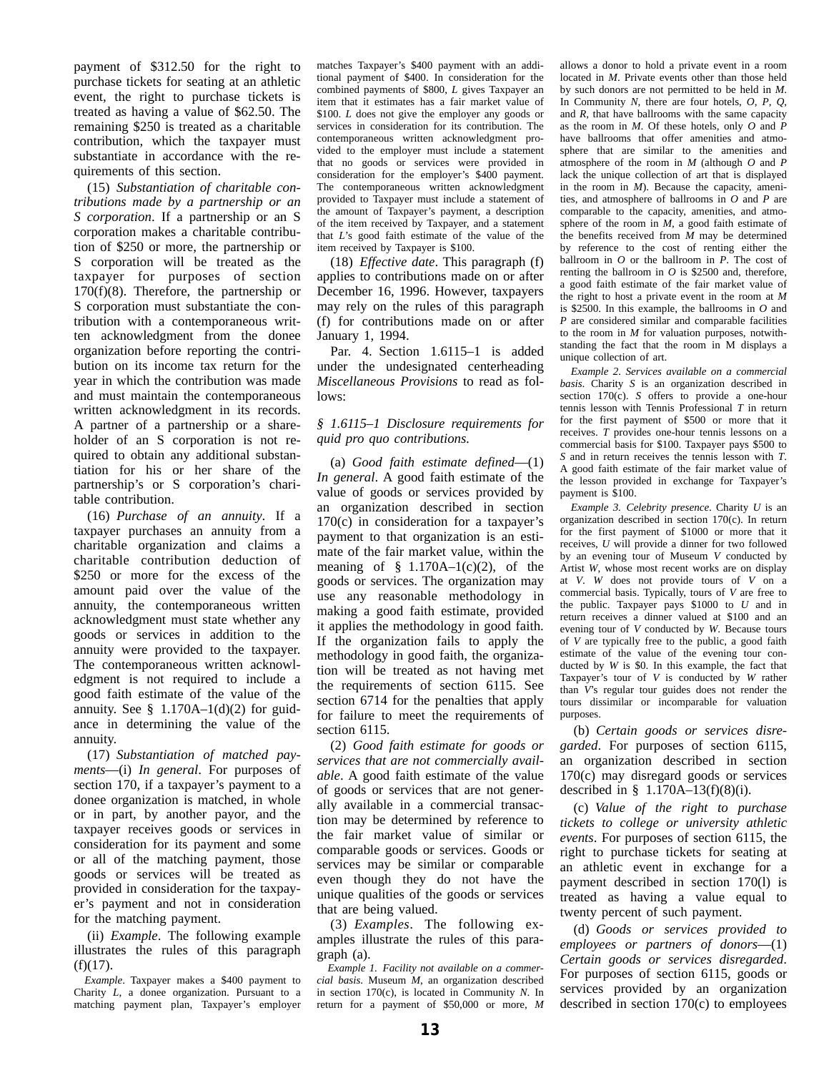payment of \$312.50 for the right to purchase tickets for seating at an athletic event, the right to purchase tickets is treated as having a value of \$62.50. The remaining \$250 is treated as a charitable contribution, which the taxpayer must substantiate in accordance with the requirements of this section.

(15) *Substantiation of charitable contributions made by a partnership or an S corporation*. If a partnership or an S corporation makes a charitable contribution of \$250 or more, the partnership or S corporation will be treated as the taxpayer for purposes of section 170(f)(8). Therefore, the partnership or S corporation must substantiate the contribution with a contemporaneous written acknowledgment from the donee organization before reporting the contribution on its income tax return for the year in which the contribution was made and must maintain the contemporaneous written acknowledgment in its records. A partner of a partnership or a shareholder of an S corporation is not required to obtain any additional substantiation for his or her share of the partnership's or S corporation's charitable contribution.

(16) *Purchase of an annuity*. If a taxpayer purchases an annuity from a charitable organization and claims a charitable contribution deduction of \$250 or more for the excess of the amount paid over the value of the annuity, the contemporaneous written acknowledgment must state whether any goods or services in addition to the annuity were provided to the taxpayer. The contemporaneous written acknowledgment is not required to include a good faith estimate of the value of the annuity. See  $\S$  1.170A–1(d)(2) for guidance in determining the value of the annuity.

(17) *Substantiation of matched payments*—(i) *In general*. For purposes of section 170, if a taxpayer's payment to a donee organization is matched, in whole or in part, by another payor, and the taxpayer receives goods or services in consideration for its payment and some or all of the matching payment, those goods or services will be treated as provided in consideration for the taxpayer's payment and not in consideration for the matching payment.

(ii) *Example*. The following example illustrates the rules of this paragraph  $(f)(17)$ .

*Example*. Taxpayer makes a \$400 payment to Charity *L*, a donee organization. Pursuant to a matching payment plan, Taxpayer's employer matches Taxpayer's \$400 payment with an additional payment of \$400. In consideration for the combined payments of \$800, *L* gives Taxpayer an item that it estimates has a fair market value of \$100. *L* does not give the employer any goods or services in consideration for its contribution. The contemporaneous written acknowledgment provided to the employer must include a statement that no goods or services were provided in consideration for the employer's \$400 payment. The contemporaneous written acknowledgment provided to Taxpayer must include a statement of the amount of Taxpayer's payment, a description of the item received by Taxpayer, and a statement that *L*'s good faith estimate of the value of the item received by Taxpayer is \$100.

(18) *Effective date*. This paragraph (f) applies to contributions made on or after December 16, 1996. However, taxpayers may rely on the rules of this paragraph (f) for contributions made on or after January 1, 1994.

Par. 4. Section 1.6115–1 is added under the undesignated centerheading *Miscellaneous Provisions* to read as follows:

#### *§ 1.6115–1 Disclosure requirements for quid pro quo contributions.*

(a) *Good faith estimate defined*—(1) *In general*. A good faith estimate of the value of goods or services provided by an organization described in section 170(c) in consideration for a taxpayer's payment to that organization is an estimate of the fair market value, within the meaning of  $§$  1.170A–1(c)(2), of the goods or services. The organization may use any reasonable methodology in making a good faith estimate, provided it applies the methodology in good faith. If the organization fails to apply the methodology in good faith, the organization will be treated as not having met the requirements of section 6115. See section 6714 for the penalties that apply for failure to meet the requirements of section 6115.

(2) *Good faith estimate for goods or services that are not commercially available*. A good faith estimate of the value of goods or services that are not generally available in a commercial transaction may be determined by reference to the fair market value of similar or comparable goods or services. Goods or services may be similar or comparable even though they do not have the unique qualities of the goods or services that are being valued.

(3) *Examples*. The following examples illustrate the rules of this paragraph (a).

*Example 1. Facility not available on a commercial basis*. Museum *M*, an organization described in section 170(c), is located in Community *N*. In return for a payment of \$50,000 or more, *M*

allows a donor to hold a private event in a room located in *M*. Private events other than those held by such donors are not permitted to be held in *M*. In Community *N*, there are four hotels, *O*, *P*, *Q*, and *R*, that have ballrooms with the same capacity as the room in *M*. Of these hotels, only *O* and *P* have ballrooms that offer amenities and atmosphere that are similar to the amenities and atmosphere of the room in *M* (although *O* and *P* lack the unique collection of art that is displayed in the room in *M*). Because the capacity, amenities, and atmosphere of ballrooms in *O* and *P* are comparable to the capacity, amenities, and atmosphere of the room in  $M$ , a good faith estimate of the benefits received from *M* may be determined by reference to the cost of renting either the ballroom in *O* or the ballroom in *P*. The cost of renting the ballroom in *O* is \$2500 and, therefore, a good faith estimate of the fair market value of the right to host a private event in the room at *M* is \$2500. In this example, the ballrooms in *O* and *P* are considered similar and comparable facilities to the room in *M* for valuation purposes, notwithstanding the fact that the room in M displays a unique collection of art.

*Example 2. Services available on a commercial basis*. Charity *S* is an organization described in section 170(c). *S* offers to provide a one-hour tennis lesson with Tennis Professional *T* in return for the first payment of \$500 or more that it receives. *T* provides one-hour tennis lessons on a commercial basis for \$100. Taxpayer pays \$500 to *S* and in return receives the tennis lesson with *T*. A good faith estimate of the fair market value of the lesson provided in exchange for Taxpayer's payment is \$100.

*Example 3. Celebrity presence*. Charity *U* is an organization described in section 170(c). In return for the first payment of \$1000 or more that it receives, *U* will provide a dinner for two followed by an evening tour of Museum *V* conducted by Artist *W*, whose most recent works are on display at *V*. *W* does not provide tours of *V* on a commercial basis. Typically, tours of *V* are free to the public. Taxpayer pays \$1000 to *U* and in return receives a dinner valued at \$100 and an evening tour of *V* conducted by *W*. Because tours of *V* are typically free to the public, a good faith estimate of the value of the evening tour conducted by *W* is \$0. In this example, the fact that Taxpayer's tour of *V* is conducted by *W* rather than *V*'s regular tour guides does not render the tours dissimilar or incomparable for valuation purposes.

(b) *Certain goods or services disregarded*. For purposes of section 6115, an organization described in section 170(c) may disregard goods or services described in § 1.170A–13(f)(8)(i).

(c) *Value of the right to purchase tickets to college or university athletic events*. For purposes of section 6115, the right to purchase tickets for seating at an athletic event in exchange for a payment described in section 170(l) is treated as having a value equal to twenty percent of such payment.

(d) *Goods or services provided to employees or partners of donors*—(1) *Certain goods or services disregarded*. For purposes of section 6115, goods or services provided by an organization described in section 170(c) to employees